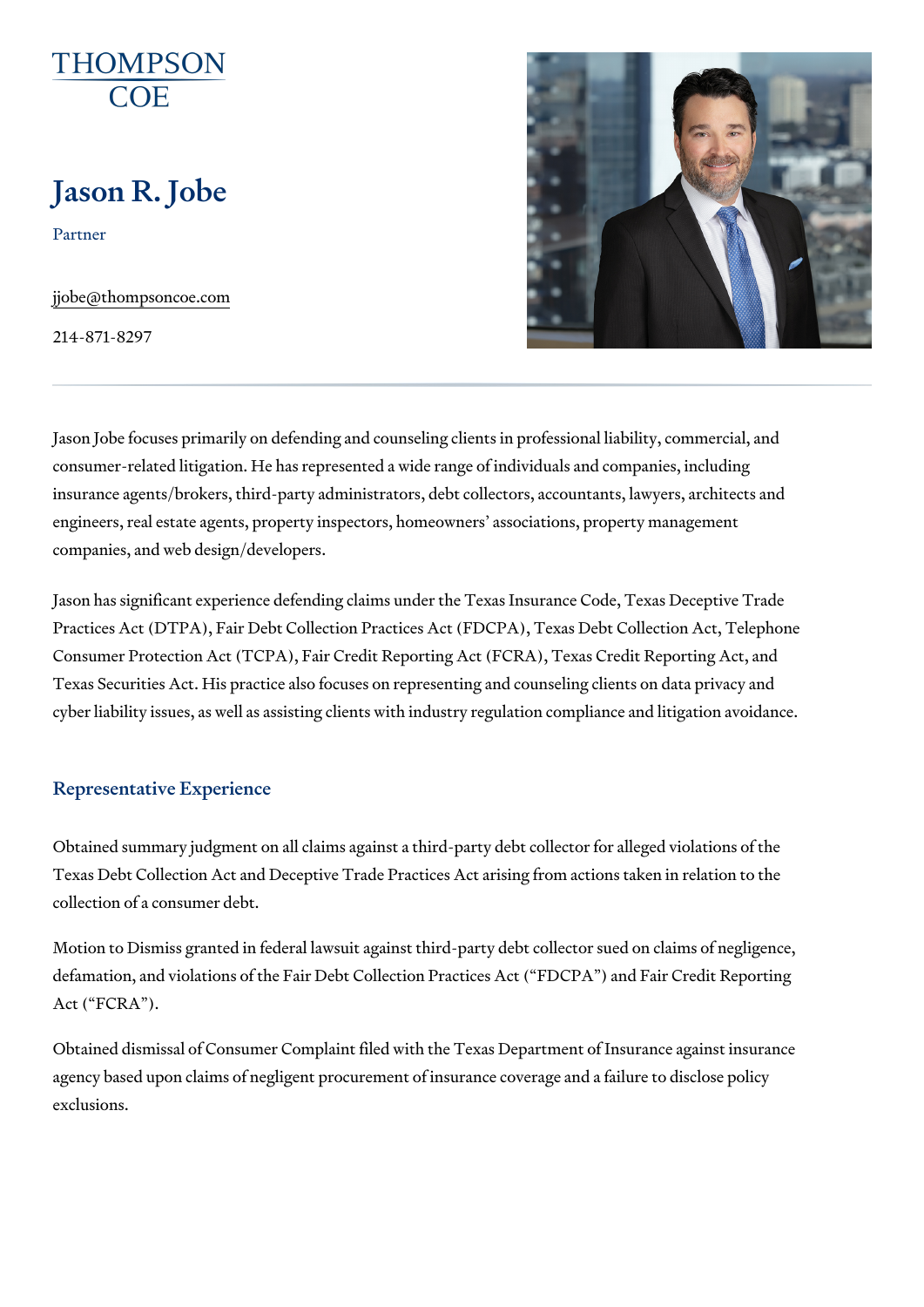# Jason R. Jobe

Partner

[jjobe@thompson](mailto:jjobe@thompsoncoe.com)coe.com

214-871-8297

Jason Jobe focuses primarily on defending and counseling clients in profes consumer-related litigation. He has represented a wide range of individual insurance agents/brokers, third-party administrators, debt collectors, acco engineers, real estate agents, property inspectors, homeowners associations, companies, and web design/developers.

Jason has significant experience defending claims under the Texas Insurar Practices Act (DTPA), Fair Debt Collection Practices Act (FDCPA), Texas I Consumer Protection Act (TCPA), Fair Credit Reporting Act (FCRA), Texas Texas Securities Act. His practice also focuses on representing and couns cyber liability issues, as well as assisting clients with industry regulation

## Representative Experience

Obtained summary judgment on all claims against a third-party debt collec Texas Debt Collection Act and Deceptive Trade Practices Act arising from collection of a consumer debt.

Motion to Dismiss granted in federal lawsuit against third-party debt colled defamation, and violations of the Fair Debt Collection Practices Act ( FDC Act ( FCRA ).

Obtained dismissal of Consumer Complaint filed with the Texas Department agency based upon claims of negligent procurement of insurance coverage exclusions.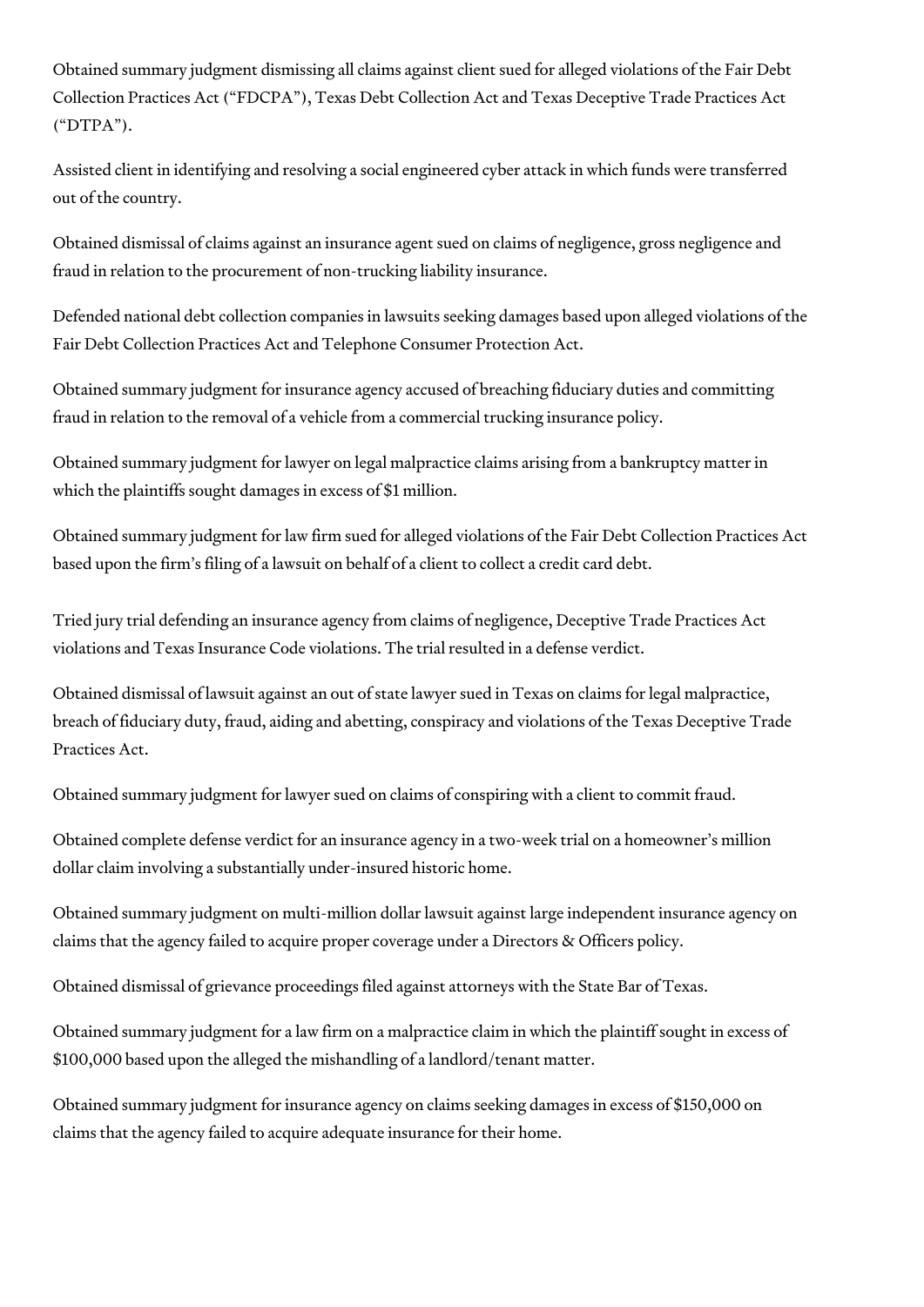Obtained summary judgment dismissing all claims against client sued for alleged violations of the Fair Debt Collection Practices Act ("FDCPA"), Texas Debt Collection Act and Texas Deceptive Trade Practices Act ("DTPA").

Assisted client in identifying and resolving a social engineered cyber attack in which funds were transferred out of the country.

Obtained dismissal of claims against an insurance agent sued on claims of negligence, gross negligence and fraud in relation to the procurement of non-trucking liability insurance.

Defended national debt collection companies in lawsuits seeking damages based upon alleged violations of the Fair Debt Collection Practices Act and Telephone Consumer Protection Act.

Obtained summary judgment for insurance agency accused of breaching fiduciary duties and committing fraud in relation to the removal of a vehicle from a commercial trucking insurance policy.

Obtained summary judgment for lawyer on legal malpractice claims arising from a bankruptcy matter in which the plaintiffs sought damages in excess of \$1 million.

Obtained summary judgment for law firm sued for alleged violations of the Fair Debt Collection Practices Act based upon the firm's filing of a lawsuit on behalf of a client to collect a credit card debt.

Tried jury trial defending an insurance agency from claims of negligence, Deceptive Trade Practices Act violations and Texas Insurance Code violations. The trial resulted in a defense verdict.

Obtained dismissal of lawsuit against an out of state lawyer sued in Texas on claims for legal malpractice, breach of fiduciary duty, fraud, aiding and abetting, conspiracy and violations of the Texas Deceptive Trade Practices Act.

Obtained summary judgment for lawyer sued on claims of conspiring with a client to commit fraud.

Obtained complete defense verdict for an insurance agency in a two-week trial on a homeowner's million dollar claim involving a substantially under-insured historic home.

Obtained summary judgment on multi-million dollar lawsuit against large independent insurance agency on claims that the agency failed to acquire proper coverage under a Directors & Officers policy.

Obtained dismissal of grievance proceedings filed against attorneys with the State Bar of Texas.

Obtained summary judgment for a law firm on a malpractice claim in which the plaintiff sought in excess of \$100,000 based upon the alleged the mishandling of a landlord/tenant matter.

Obtained summary judgment for insurance agency on claims seeking damages in excess of \$150,000 on claims that the agency failed to acquire adequate insurance for their home.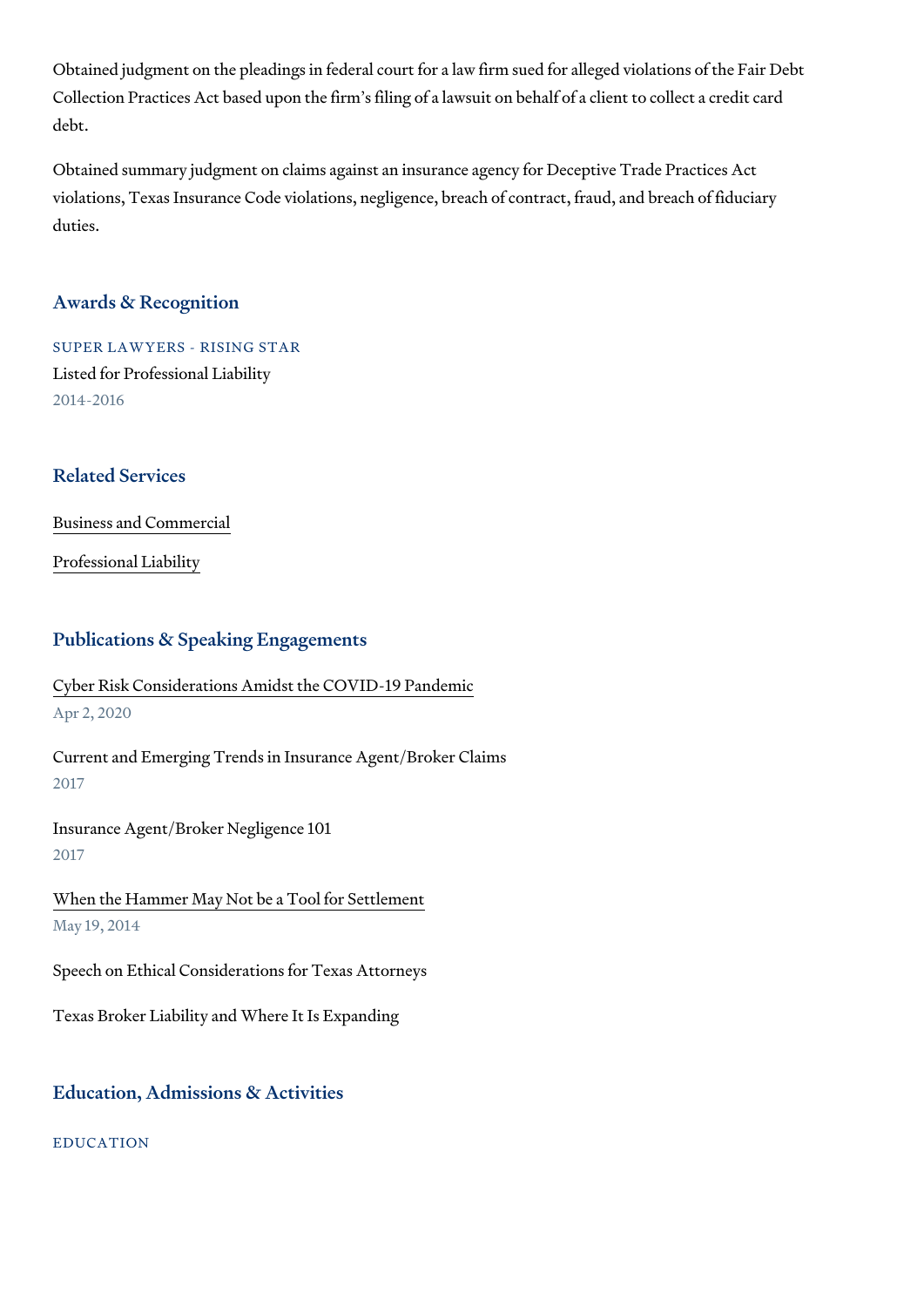Obtained judgment on the pleadings in federal court for a law firm sued for Collection Practices Act based upon the firm s filing of a lawsuit on behalf debt.

Obtained summary judgment on claims against an insurance agency for Dec violations, Texas Insurance Code violations, negligence, breach of contrac duties.

## Awards & Recognition

SUPER LAWYERS - RISING STAR Listed for Professional Liability 2014-2016

## Related Services

[Business and C](https://www.thompsoncoe.com/people/jason-r-jobe/)ommercial

[Professional](https://www.thompsoncoe.com/people/jason-r-jobe/) Liability

#### Publications & Speaking Engagements

[Cyber Risk Considerations Amidst th](https://www.thompsoncoe.com/resources/publications/cyber-risk-considerations-amidst-the-covid-19-pandemic/)e COVID-19 Pandemic Apr 2, 2020

Current and Emerging Trends in Insurance Agent/Broker Claims 2017

Insurance Agent/Broker Negligence 101 2017

[When the Hammer May Not be a](https://www.thompsoncoe.com/resources/publications/when-the-hammer-may-not-be-a-tool-for-settlement/) Tool for Settlement May 19, 2014

Speech on Ethical Considerations for Texas Attorneys

Texas Broker Liability and Where It Is Expanding

#### Education, Admissions & Activities

EDUCATION